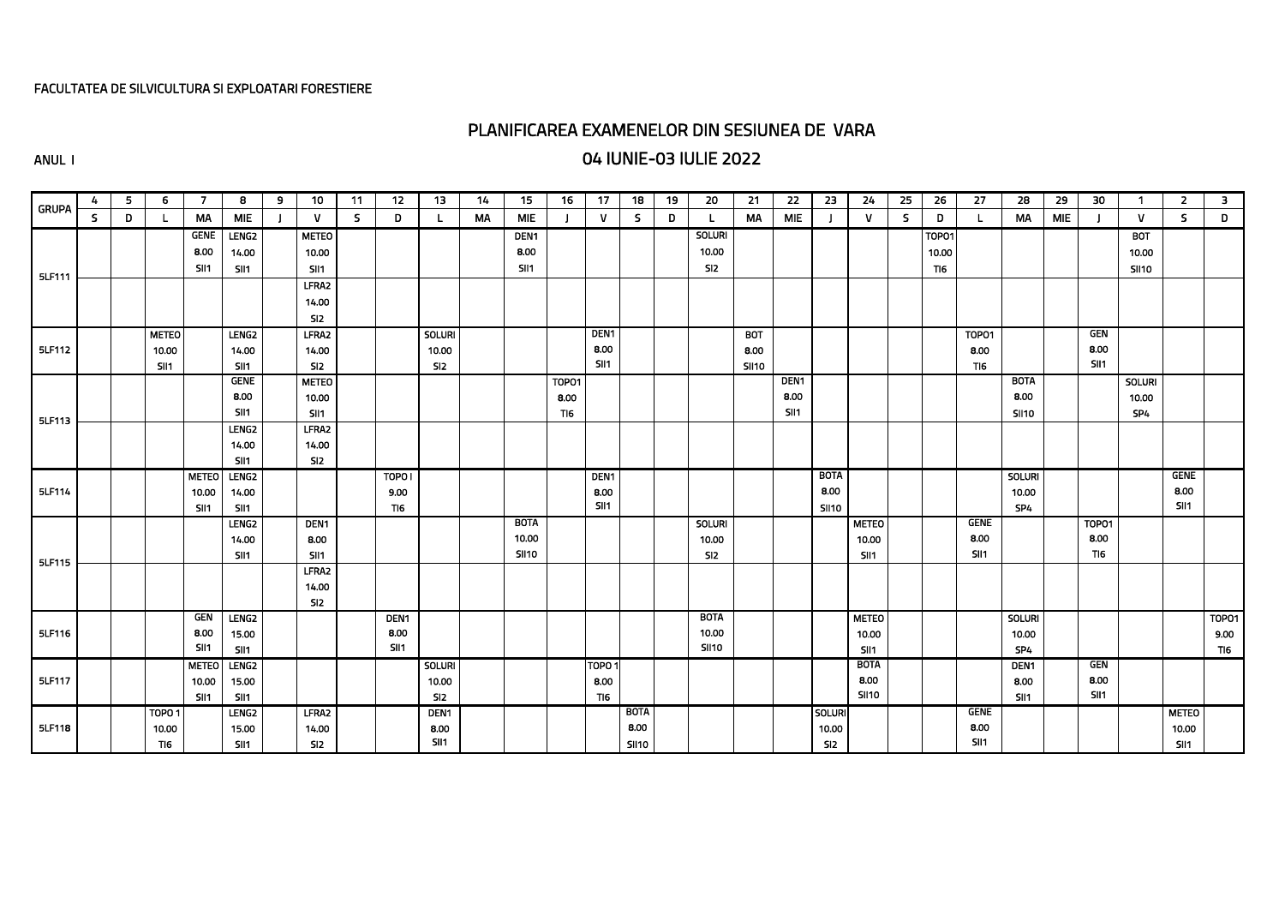#### FACULTATEA DE SILVICULTURA SI EXPLOATARI FORESTIERE

# PLANIFICAREA EXAMENELOR DIN SESIUNEA DE VARA

### ANUL I 04 IUNIE-03 IULIE 2022

| 12<br>6<br>$\overline{7}$<br>8<br>10<br>5<br>9<br>11<br>4<br><b>GRUPA</b><br>S.<br>D<br>MA<br><b>MIE</b><br>$\mathbf{V}$<br>S.<br>D<br>L<br><b>GENE</b><br><b>LENG2</b><br><b>METEO</b><br>8.00<br>14.00<br>10.00 | 13<br>15<br>14<br><b>MA</b><br><b>MIE</b><br>DEN <sub>1</sub> | 18<br>16<br>17<br>$\mathbf{V}$<br>$\mathsf{s}$ | 19<br>20<br>D | 21<br>22<br>MA<br><b>MIE</b> | 23<br>24<br>$\mathbf{V}$ | 25 | 26         | 27<br>28         | 29         | 30                      | $\mathbf{1}$  | $\overline{2}$ | 3            |
|-------------------------------------------------------------------------------------------------------------------------------------------------------------------------------------------------------------------|---------------------------------------------------------------|------------------------------------------------|---------------|------------------------------|--------------------------|----|------------|------------------|------------|-------------------------|---------------|----------------|--------------|
|                                                                                                                                                                                                                   |                                                               |                                                |               |                              |                          |    |            |                  |            |                         |               |                |              |
|                                                                                                                                                                                                                   |                                                               |                                                |               |                              |                          | S. | D          | MA<br>L          | <b>MIE</b> |                         | $\mathbf{V}$  | $\mathsf{S}$   | D            |
|                                                                                                                                                                                                                   |                                                               |                                                | <b>SOLURI</b> |                              |                          |    | TOPO1      |                  |            |                         | <b>BOT</b>    |                |              |
|                                                                                                                                                                                                                   | 8.00                                                          |                                                | 10.00         |                              |                          |    | 10.00      |                  |            |                         | 10.00         |                |              |
| SII1<br>SII1<br>SI11<br>5LF111                                                                                                                                                                                    | SII1                                                          |                                                | SI2           |                              |                          |    | <b>TI6</b> |                  |            |                         | <b>SII10</b>  |                |              |
| LFRA2                                                                                                                                                                                                             |                                                               |                                                |               |                              |                          |    |            |                  |            |                         |               |                |              |
| 14.00                                                                                                                                                                                                             |                                                               |                                                |               |                              |                          |    |            |                  |            |                         |               |                |              |
| SI <sub>2</sub>                                                                                                                                                                                                   |                                                               |                                                |               |                              |                          |    |            |                  |            |                         |               |                |              |
| LENG <sub>2</sub><br>LFRA2<br><b>METEO</b>                                                                                                                                                                        | <b>SOLURI</b>                                                 | DEN <sub>1</sub>                               |               | <b>BOT</b>                   |                          |    |            | TOPO1            |            | <b>GEN</b>              |               |                |              |
| 5LF112<br>14.00<br>10.00<br>14.00                                                                                                                                                                                 | 10.00                                                         | 8.00                                           |               | 8.00                         |                          |    |            | 8.00             |            | 8.00                    |               |                |              |
| SII1<br>SII1<br>SI <sub>2</sub>                                                                                                                                                                                   | SI2                                                           | SII1                                           |               | <b>SII10</b>                 |                          |    |            | TI <sub>6</sub>  |            | SII <sub>1</sub>        |               |                |              |
| <b>GENE</b><br><b>METEO</b>                                                                                                                                                                                       |                                                               | TOP01                                          |               | DEN <sub>1</sub>             |                          |    |            | <b>BOTA</b>      |            |                         | <b>SOLURI</b> |                |              |
| 8.00<br>10.00                                                                                                                                                                                                     |                                                               | 8.00                                           |               | 8.00                         |                          |    |            | 8.00             |            |                         | 10.00         |                |              |
| SII1<br>SII1<br>5LF113                                                                                                                                                                                            |                                                               | TI6                                            |               | SII1                         |                          |    |            | <b>SII10</b>     |            |                         | SP4           |                |              |
| LENG <sub>2</sub><br>LFRA2                                                                                                                                                                                        |                                                               |                                                |               |                              |                          |    |            |                  |            |                         |               |                |              |
| 14.00<br>14.00                                                                                                                                                                                                    |                                                               |                                                |               |                              |                          |    |            |                  |            |                         |               |                |              |
| SII1<br>SI2                                                                                                                                                                                                       |                                                               |                                                |               |                              |                          |    |            |                  |            |                         |               |                |              |
| LENG <sub>2</sub><br>TOPO <sub>1</sub><br><b>METEO</b>                                                                                                                                                            |                                                               | DEN <sub>1</sub>                               |               |                              | <b>BOTA</b>              |    |            | <b>SOLURI</b>    |            |                         |               | <b>GENE</b>    |              |
| 5LF114<br>10.00<br>14.00<br>9.00                                                                                                                                                                                  |                                                               | 8.00                                           |               |                              | 8.00                     |    |            | 10.00            |            |                         |               | 8.00           |              |
| SII1<br>SII1<br>TI6                                                                                                                                                                                               |                                                               | SII1                                           |               |                              | <b>SII10</b>             |    |            | SP4              |            |                         |               | SII1           |              |
| LENG <sub>2</sub><br>DEN <sub>1</sub>                                                                                                                                                                             | <b>BOTA</b>                                                   |                                                | <b>SOLURI</b> |                              | <b>METEO</b>             |    |            | <b>GENE</b>      |            | <b>TOP01</b>            |               |                |              |
| 14.00<br>8.00                                                                                                                                                                                                     | 10.00                                                         |                                                | 10.00         |                              | 10.00                    |    |            | 8.00             |            | 8.00                    |               |                |              |
| SII1<br>SII1<br>5LF115                                                                                                                                                                                            | <b>SII10</b>                                                  |                                                | SI2           |                              | SII <sub>1</sub>         |    |            | SII1             |            | <b>TI6</b>              |               |                |              |
| LFRA2                                                                                                                                                                                                             |                                                               |                                                |               |                              |                          |    |            |                  |            |                         |               |                |              |
| 14.00                                                                                                                                                                                                             |                                                               |                                                |               |                              |                          |    |            |                  |            |                         |               |                |              |
| SI <sub>2</sub><br><b>GEN</b><br>LENG <sub>2</sub><br>DEN <sub>1</sub>                                                                                                                                            |                                                               |                                                | <b>BOTA</b>   |                              | <b>METEO</b>             |    |            | <b>SOLURI</b>    |            |                         |               |                | <b>TOP01</b> |
| 5LF116<br>8.00<br>8.00<br>15.00                                                                                                                                                                                   |                                                               |                                                | 10.00         |                              | 10.00                    |    |            | 10.00            |            |                         |               |                | 9.00         |
| SII1<br>SII1<br>SII <sub>1</sub>                                                                                                                                                                                  |                                                               |                                                | <b>SII10</b>  |                              | SII <sub>1</sub>         |    |            | SP4              |            |                         |               |                | TI6          |
| LENG <sub>2</sub><br><b>METEO</b>                                                                                                                                                                                 | <b>SOLURI</b>                                                 | TOPO <sub>1</sub>                              |               |                              | <b>BOTA</b>              |    |            | DEN <sub>1</sub> |            | $\overline{\text{GEN}}$ |               |                |              |
| 5LF117<br>10.00<br>15.00                                                                                                                                                                                          | 10.00                                                         | 8.00                                           |               |                              | 8.00                     |    |            | 8.00             |            | 8.00                    |               |                |              |
| SII1<br>SII1                                                                                                                                                                                                      | SI2                                                           | TI6                                            |               |                              | <b>SII10</b>             |    |            | SII1             |            | SII1                    |               |                |              |
| <b>LENG2</b><br><b>LFRA2</b><br>TOPO <sub>1</sub>                                                                                                                                                                 | DEN <sub>1</sub>                                              | <b>BOTA</b>                                    |               |                              | <b>SOLURI</b>            |    |            | <b>GENE</b>      |            |                         |               | <b>METEO</b>   |              |
| 5LF118<br>15.00<br>14.00<br>10.00                                                                                                                                                                                 | 8.00                                                          | 8,00                                           |               |                              | 10.00                    |    |            | 8.00             |            |                         |               | 10.00          |              |
| SI2<br>TI <sub>6</sub><br><b>SII1</b>                                                                                                                                                                             | SII <sub>1</sub>                                              | <b>SII10</b>                                   |               |                              | SI2                      |    |            | SI <sub>1</sub>  |            |                         |               | SII1           |              |